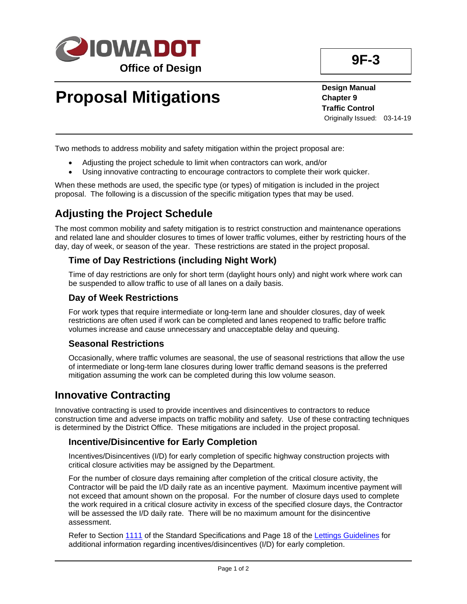

# **Proposal Mitigations**

**Design Manual Chapter 9 Traffic Control** Originally Issued: 03-14-19

Two methods to address mobility and safety mitigation within the project proposal are:

- Adjusting the project schedule to limit when contractors can work, and/or
- Using innovative contracting to encourage contractors to complete their work quicker.

When these methods are used, the specific type (or types) of mitigation is included in the project proposal. The following is a discussion of the specific mitigation types that may be used.

## **Adjusting the Project Schedule**

The most common mobility and safety mitigation is to restrict construction and maintenance operations and related lane and shoulder closures to times of lower traffic volumes, either by restricting hours of the day, day of week, or season of the year. These restrictions are stated in the project proposal.

## **Time of Day Restrictions (including Night Work)**

Time of day restrictions are only for short term (daylight hours only) and night work where work can be suspended to allow traffic to use of all lanes on a daily basis.

## **Day of Week Restrictions**

For work types that require intermediate or long-term lane and shoulder closures, day of week restrictions are often used if work can be completed and lanes reopened to traffic before traffic volumes increase and cause unnecessary and unacceptable delay and queuing.

#### **Seasonal Restrictions**

Occasionally, where traffic volumes are seasonal, the use of seasonal restrictions that allow the use of intermediate or long-term lane closures during lower traffic demand seasons is the preferred mitigation assuming the work can be completed during this low volume season.

## **Innovative Contracting**

Innovative contracting is used to provide incentives and disincentives to contractors to reduce construction time and adverse impacts on traffic mobility and safety. Use of these contracting techniques is determined by the District Office. These mitigations are included in the project proposal.

## **Incentive/Disincentive for Early Completion**

Incentives/Disincentives (I/D) for early completion of specific highway construction projects with critical closure activities may be assigned by the Department.

For the number of closure days remaining after completion of the critical closure activity, the Contractor will be paid the I/D daily rate as an incentive payment. Maximum incentive payment will not exceed that amount shown on the proposal. For the number of closure days used to complete the work required in a critical closure activity in excess of the specified closure days, the Contractor will be assessed the I/D daily rate. There will be no maximum amount for the disincentive assessment.

Refer to Section [1111](../../erl/current/GS/content/1111.htm) of the Standard Specifications and Page 18 of the [Lettings Guidelines](../../contracts/lettings/LettingGuidelines.pdf) for additional information regarding incentives/disincentives (I/D) for early completion.